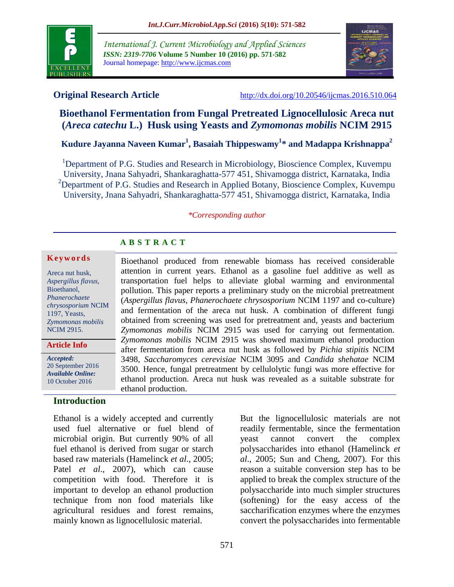

*International J. Current Microbiology and Applied Sciences ISSN: 2319-7706* **Volume 5 Number 10 (2016) pp. 571-582** Journal homepage: http://www.ijcmas.com



**Original Research Article** <http://dx.doi.org/10.20546/ijcmas.2016.510.064>

# **Bioethanol Fermentation from Fungal Pretreated Lignocellulosic Areca nut (***Areca catechu* **L.) Husk using Yeasts and** *Zymomonas mobilis* **NCIM 2915**

# **Kudure Jayanna Naveen Kumar<sup>1</sup> , Basaiah Thippeswamy<sup>1</sup> \* and Madappa Krishnappa<sup>2</sup>**

<sup>1</sup>Department of P.G. Studies and Research in Microbiology, Bioscience Complex, Kuvempu University, Jnana Sahyadri, Shankaraghatta-577 451, Shivamogga district, Karnataka, India <sup>2</sup>Department of P.G. Studies and Research in Applied Botany, Bioscience Complex, Kuvempu University, Jnana Sahyadri, Shankaraghatta-577 451, Shivamogga district, Karnataka, India

#### *\*Corresponding author*

## **A B S T R A C T**

#### **K e y w o r d s**

Areca nut husk, *Aspergillus flavus*, Bioethanol, *Phanerochaete chrysosporium* NCIM 1197, Yeasts, *Zymomonas mobilis* NCIM 2915.

*Accepted:*  **Article Info**

 $\overline{a}$ 

20 September 2016 *Available Online:* 10 October 2016

## **Introduction**

Ethanol is a widely accepted and currently used fuel alternative or fuel blend of microbial origin. But currently 90% of all fuel ethanol is derived from sugar or starch based raw materials (Hamelinck *et al*., 2005; Patel *et al.*, 2007), which can cause competition with food. Therefore it is important to develop an ethanol production technique from non food materials like agricultural residues and forest remains, mainly known as lignocellulosic material.

Bioethanol produced from renewable biomass has received considerable attention in current years. Ethanol as a gasoline fuel additive as well as transportation fuel helps to alleviate global warming and environmental pollution. This paper reports a preliminary study on the microbial pretreatment (*Aspergillus flavus, Phanerochaete chrysosporium* NCIM 1197 and co-culture) and fermentation of the areca nut husk. A combination of different fungi obtained from screening was used for pretreatment and, yeasts and bacterium *Zymomonas mobilis* NCIM 2915 was used for carrying out fermentation. *Zymomonas mobilis* NCIM 2915 was showed maximum ethanol production after fermentation from areca nut husk as followed by *Pichia stipitis* NCIM 3498, *Saccharomyces cerevisiae* NCIM 3095 and *Candida shehatae* NCIM 3500. Hence, fungal pretreatment by cellulolytic fungi was more effective for ethanol production. Areca nut husk was revealed as a suitable substrate for ethanol production.

> But the lignocellulosic materials are not readily fermentable, since the fermentation yeast cannot convert the complex polysaccharides into ethanol (Hamelinck *et al*., 2005; Sun and Cheng, 2007). For this reason a suitable conversion step has to be applied to break the complex structure of the polysaccharide into much simpler structures (softening) for the easy access of the saccharification enzymes where the enzymes convert the polysaccharides into fermentable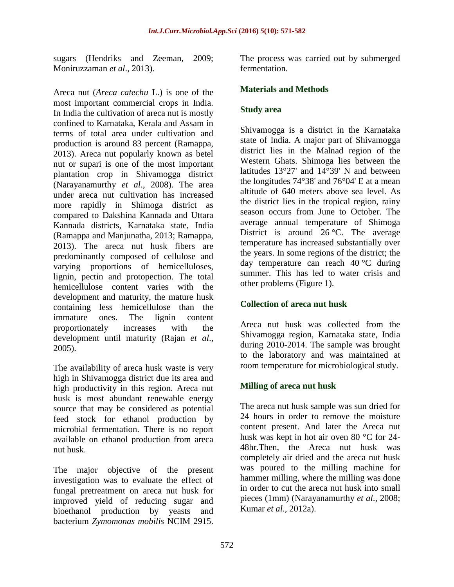sugars (Hendriks and Zeeman, 2009; Moniruzzaman *et al*., 2013).

Areca nut (*Areca catechu* L.) is one of the most important commercial crops in India. In India the cultivation of areca nut is mostly confined to Karnataka, Kerala and Assam in terms of total area under cultivation and production is around 83 percent (Ramappa, 2013). Areca nut popularly known as betel nut or supari is one of the most important plantation crop in Shivamogga district (Narayanamurthy *et al*., 2008). The area under areca nut cultivation has increased more rapidly in Shimoga district as compared to Dakshina Kannada and Uttara Kannada districts, Karnataka state, India (Ramappa and Manjunatha, 2013; Ramappa, 2013). The areca nut husk fibers are predominantly composed of cellulose and varying proportions of hemicelluloses, lignin, pectin and protopection. The total hemicellulose content varies with the development and maturity, the mature husk containing less hemicellulose than the immature ones. The lignin content proportionately increases with the development until maturity (Rajan *et al*., 2005).

The availability of areca husk waste is very high in Shivamogga district due its area and high productivity in this region. Areca nut husk is most abundant renewable energy source that may be considered as potential feed stock for ethanol production by microbial fermentation. There is no report available on ethanol production from areca nut husk.

The major objective of the present investigation was to evaluate the effect of fungal pretreatment on areca nut husk for improved yield of reducing sugar and bioethanol production by yeasts and bacterium *Zymomonas mobilis* NCIM 2915.

The process was carried out by submerged fermentation.

## **Materials and Methods**

## **Study area**

Shivamogga is a [district](http://en.wikipedia.org/wiki/Districts_of_India) in the [Karnataka](http://en.wikipedia.org/wiki/Karnataka) state of [India.](http://en.wikipedia.org/wiki/India) A major part of Shivamogga district lies in the [Malnad](http://en.wikipedia.org/wiki/Malnad) region of the [Western Ghats.](http://en.wikipedia.org/wiki/Western_Ghats) Shimoga lies between the latitudes 13°27' and 14°39' N and between the longitudes 74°38' and 76°04' E at a mean altitude of 640 meters above sea level. As the district lies in the tropical region, rainy season occurs from June to October. The average annual temperature of Shimoga District is around  $26^{\circ}$ C. The average temperature has increased substantially over the years. In some regions of the district; the day temperature can reach  $40^{\circ}$ C during summer. This has led to water crisis and other problems (Figure 1).

## **Collection of areca nut husk**

Areca nut husk was collected from the Shivamogga region, Karnataka state, India during 2010-2014. The sample was brought to the laboratory and was maintained at room temperature for microbiological study.

## **Milling of areca nut husk**

The areca nut husk sample was sun dried for 24 hours in order to remove the moisture content present. And later the Areca nut husk was kept in hot air oven 80 °C for 24- 48hr.Then, the Areca nut husk was completely air dried and the areca nut husk was poured to the milling machine for hammer milling, where the milling was done in order to cut the areca nut husk into small pieces (1mm) (Narayanamurthy *et al*., 2008; Kumar *et al*., 2012a).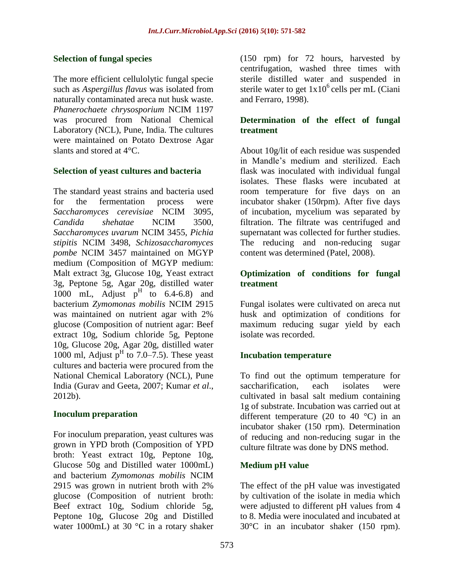## **Selection of fungal species**

The more efficient cellulolytic fungal specie such as *Aspergillus flavus* was isolated from naturally contaminated areca nut husk waste. *Phanerochaete chrysosporium* NCIM 1197 was procured from National Chemical Laboratory (NCL), Pune, India. The cultures were maintained on Potato Dextrose Agar slants and stored at 4°C.

## **Selection of yeast cultures and bacteria**

The standard yeast strains and bacteria used for the fermentation process were *Saccharomyces cerevisiae* NCIM 3095, *Candida shehatae* NCIM 3500, *Saccharomyces uvarum* NCIM 3455, *Pichia stipitis* NCIM 3498, *Schizosaccharomyces pombe* NCIM 3457 maintained on MGYP medium (Composition of MGYP medium: Malt extract 3g, Glucose 10g, Yeast extract 3g, Peptone 5g, Agar 20g, distilled water 1000 mL, Adjust  $p^H$  to 6.4-6.8) and bacterium *Zymomonas mobilis* NCIM 2915 was maintained on nutrient agar with 2% glucose (Composition of nutrient agar: Beef extract 10g, Sodium chloride 5g, Peptone 10g, Glucose 20g, Agar 20g, distilled water 1000 ml, Adjust  $p<sup>H</sup>$  to 7.0–7.5). These yeast cultures and bacteria were procured from the National Chemical Laboratory (NCL), Pune India (Gurav and Geeta, 2007; Kumar *et al*., 2012b).

## **Inoculum preparation**

For inoculum preparation, yeast cultures was grown in YPD broth (Composition of YPD broth: Yeast extract 10g, Peptone 10g, Glucose 50g and Distilled water 1000mL) and bacterium *Zymomonas mobilis* NCIM 2915 was grown in nutrient broth with 2% glucose (Composition of nutrient broth: Beef extract 10g, Sodium chloride 5g, Peptone 10g, Glucose 20g and Distilled water 1000mL) at 30 °C in a rotary shaker

(150 rpm) for 72 hours, harvested by centrifugation, washed three times with sterile distilled water and suspended in sterile water to get  $1x10^6$  cells per mL (Ciani and Ferraro, 1998).

## **Determination of the effect of fungal treatment**

About 10g/lit of each residue was suspended in Mandle's medium and sterilized. Each flask was inoculated with individual fungal isolates. These flasks were incubated at room temperature for five days on an incubator shaker (150rpm). After five days of incubation, mycelium was separated by filtration. The filtrate was centrifuged and supernatant was collected for further studies. The reducing and non-reducing sugar content was determined (Patel, 2008).

## **Optimization of conditions for fungal treatment**

Fungal isolates were cultivated on areca nut husk and optimization of conditions for maximum reducing sugar yield by each isolate was recorded.

## **Incubation temperature**

To find out the optimum temperature for saccharification, each isolates were cultivated in basal salt medium containing 1g of substrate. Incubation was carried out at different temperature (20 to 40  $^{\circ}$ C) in an incubator shaker (150 rpm). Determination of reducing and non-reducing sugar in the culture filtrate was done by DNS method.

## **Medium pH value**

The effect of the pH value was investigated by cultivation of the isolate in media which were adjusted to different pH values from 4 to 8. Media were inoculated and incubated at 30°C in an incubator shaker (150 rpm).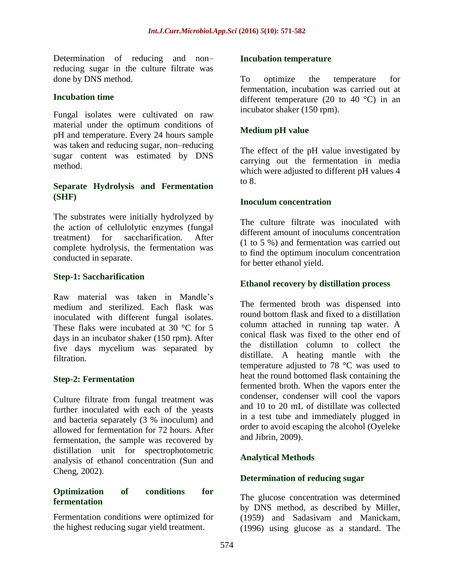Determination of reducing and non– reducing sugar in the culture filtrate was done by DNS method.

### **Incubation time**

Fungal isolates were cultivated on raw material under the optimum conditions of pH and temperature. Every 24 hours sample was taken and reducing sugar, non–reducing sugar content was estimated by DNS method.

### **Separate Hydrolysis and Fermentation (SHF)**

The substrates were initially hydrolyzed by the action of cellulolytic enzymes (fungal treatment) for saccharification. After complete hydrolysis, the fermentation was conducted in separate.

### **Step-1: Saccharification**

Raw material was taken in Mandle's medium and sterilized. Each flask was inoculated with different fungal isolates. These flaks were incubated at 30 °C for 5 days in an incubator shaker (150 rpm). After five days mycelium was separated by filtration.

## **Step-2: Fermentation**

Culture filtrate from fungal treatment was further inoculated with each of the yeasts and bacteria separately (3 % inoculum) and allowed for fermentation for 72 hours. After fermentation, the sample was recovered by distillation unit for spectrophotometric analysis of ethanol concentration (Sun and Cheng, 2002).

### **Optimization of conditions for fermentation**

Fermentation conditions were optimized for the highest reducing sugar yield treatment.

#### **Incubation temperature**

To optimize the temperature for fermentation, incubation was carried out at different temperature (20 to 40  $^{\circ}$ C) in an incubator shaker (150 rpm).

## **Medium pH value**

The effect of the pH value investigated by carrying out the fermentation in media which were adjusted to different pH values 4 to 8.

### **Inoculum concentration**

The culture filtrate was inoculated with different amount of inoculums concentration (1 to 5 %) and fermentation was carried out to find the optimum inoculum concentration for better ethanol yield.

### **Ethanol recovery by distillation process**

The fermented broth was dispensed into round bottom flask and fixed to a distillation column attached in running tap water. A conical flask was fixed to the other end of the distillation column to collect the distillate. A heating mantle with the temperature adjusted to 78 °C was used to heat the round bottomed flask containing the fermented broth. When the vapors enter the condenser, condenser will cool the vapors and 10 to 20 mL of distillate was collected in a test tube and immediately plugged in order to avoid escaping the alcohol (Oyeleke and Jibrin, 2009).

## **Analytical Methods**

#### **Determination of reducing sugar**

The glucose concentration was determined by DNS method, as described by Miller, (1959) and Sadasivam and Manickam, (1996) using glucose as a standard. The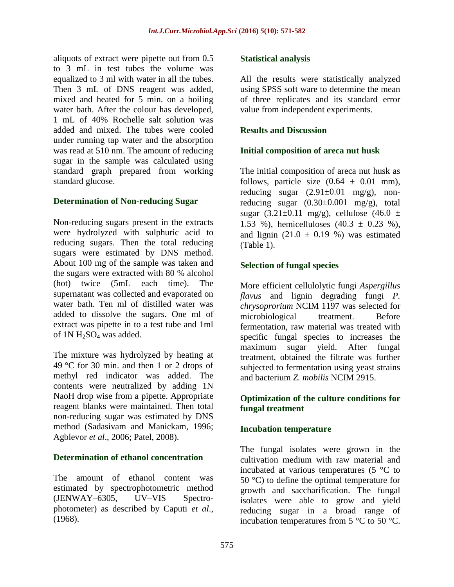aliquots of extract were pipette out from 0.5 to 3 mL in test tubes the volume was equalized to 3 ml with water in all the tubes. Then 3 mL of DNS reagent was added, mixed and heated for 5 min. on a boiling water bath. After the colour has developed, 1 mL of 40% Rochelle salt solution was added and mixed. The tubes were cooled under running tap water and the absorption was read at 510 nm. The amount of reducing sugar in the sample was calculated using standard graph prepared from working standard glucose.

## **Determination of Non-reducing Sugar**

Non-reducing sugars present in the extracts were hydrolyzed with sulphuric acid to reducing sugars. Then the total reducing sugars were estimated by DNS method. About 100 mg of the sample was taken and the sugars were extracted with 80 % alcohol (hot) twice (5mL each time). The supernatant was collected and evaporated on water bath. Ten ml of distilled water was added to dissolve the sugars. One ml of extract was pipette in to a test tube and 1ml of 1N H<sub>2</sub>SO<sub>4</sub> was added.

The mixture was hydrolyzed by heating at 49 °C for 30 min. and then 1 or 2 drops of methyl red indicator was added. The contents were neutralized by adding 1N NaoH drop wise from a pipette. Appropriate reagent blanks were maintained. Then total non-reducing sugar was estimated by DNS method (Sadasivam and Manickam, 1996; Agblevor *et al*., 2006; Patel, 2008).

## **Determination of ethanol concentration**

The amount of ethanol content was estimated by spectrophotometric method (JENWAY–6305, UV–VIS Spectrophotometer) as described by Caputi *et al*., (1968).

## **Statistical analysis**

All the results were statistically analyzed using SPSS soft ware to determine the mean of three replicates and its standard error value from independent experiments.

## **Results and Discussion**

## **Initial composition of areca nut husk**

The initial composition of areca nut husk as follows, particle size  $(0.64 \pm 0.01 \text{ mm})$ , reducing sugar  $(2.91 \pm 0.01 \text{ mg/g})$ , nonreducing sugar  $(0.30\pm0.001 \text{ mg/g})$ , total sugar (3.21±0.11 mg/g), cellulose (46.0 ± 1.53 %), hemicelluloses  $(40.3 \pm 0.23 \%)$ , and lignin  $(21.0 \pm 0.19)$ % was estimated (Table 1).

## **Selection of fungal species**

More efficient cellulolytic fungi *Aspergillus flavus* and lignin degrading fungi *P. chrysoprorium* NCIM 1197 was selected for microbiological treatment. Before fermentation, raw material was treated with specific fungal species to increases the maximum sugar yield. After fungal treatment, obtained the filtrate was further subjected to fermentation using yeast strains and bacterium *Z. mobilis* NCIM 2915.

## **Optimization of the culture conditions for fungal treatment**

## **Incubation temperature**

The fungal isolates were grown in the cultivation medium with raw material and incubated at various temperatures (5 °C to 50  $^{\circ}$ C) to define the optimal temperature for growth and saccharification. The fungal isolates were able to grow and yield reducing sugar in a broad range of incubation temperatures from 5 °C to 50 °C.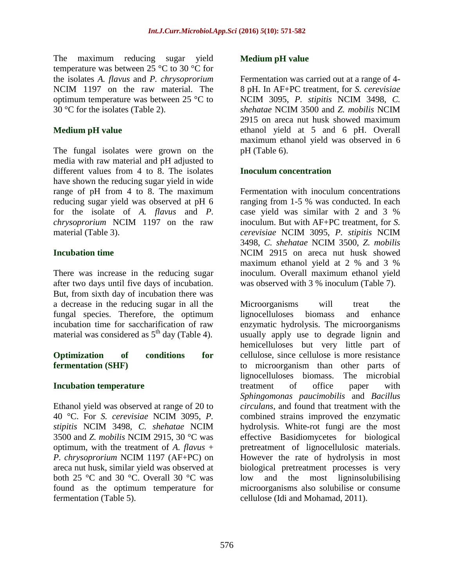The maximum reducing sugar yield temperature was between 25 °C to 30 °C for the isolates *A. flavus* and *P. chrysoprorium* NCIM 1197 on the raw material. The optimum temperature was between 25 °C to 30 °C for the isolates (Table 2).

## **Medium pH value**

The fungal isolates were grown on the media with raw material and pH adjusted to different values from 4 to 8. The isolates have shown the reducing sugar yield in wide range of pH from 4 to 8. The maximum reducing sugar yield was observed at pH 6 for the isolate of *A. flavus* and *P. chrysoprorium* NCIM 1197 on the raw material (Table 3).

## **Incubation time**

There was increase in the reducing sugar after two days until five days of incubation. But, from sixth day of incubation there was a decrease in the reducing sugar in all the fungal species. Therefore, the optimum incubation time for saccharification of raw material was considered as  $5<sup>th</sup>$  day (Table 4).

## **Optimization of conditions for fermentation (SHF)**

## **Incubation temperature**

Ethanol yield was observed at range of 20 to 40 °C. For *S. cerevisiae* NCIM 3095, *P. stipitis* NCIM 3498, *C. shehatae* NCIM 3500 and *Z. mobilis* NCIM 2915, 30 °C was optimum, with the treatment of *A. flavus* + *P. chrysoprorium* NCIM 1197 (AF+PC) on areca nut husk, similar yield was observed at both 25 °C and 30 °C. Overall 30 °C was found as the optimum temperature for fermentation (Table 5).

## **Medium pH value**

Fermentation was carried out at a range of 4- 8 pH. In AF+PC treatment, for *S. cerevisiae* NCIM 3095, *P. stipitis* NCIM 3498, *C. shehatae* NCIM 3500 and *Z. mobilis* NCIM 2915 on areca nut husk showed maximum ethanol yield at 5 and 6 pH. Overall maximum ethanol yield was observed in 6 pH (Table 6).

## **Inoculum concentration**

Fermentation with inoculum concentrations ranging from 1-5 % was conducted. In each case yield was similar with 2 and 3 % inoculum. But with AF+PC treatment, for *S. cerevisiae* NCIM 3095, *P. stipitis* NCIM 3498, *C. shehatae* NCIM 3500, *Z. mobilis* NCIM 2915 on areca nut husk showed maximum ethanol yield at 2 % and 3 % inoculum. Overall maximum ethanol yield was observed with 3 % inoculum (Table 7).

Microorganisms will treat the lignocelluloses biomass and enhance enzymatic hydrolysis. The microorganisms usually apply use to degrade lignin and hemicelluloses but very little part of cellulose, since cellulose is more resistance to microorganism than other parts of lignocelluloses biomass. The microbial treatment of office paper with *Sphingomonas paucimobilis* and *Bacillus circulans*, and found that treatment with the combined strains improved the enzymatic hydrolysis. White-rot fungi are the most effective Basidiomycetes for biological pretreatment of lignocellulosic materials. However the rate of hydrolysis in most biological pretreatment processes is very low and the most ligninsolubilising microorganisms also solubilise or consume cellulose (Idi and Mohamad, 2011).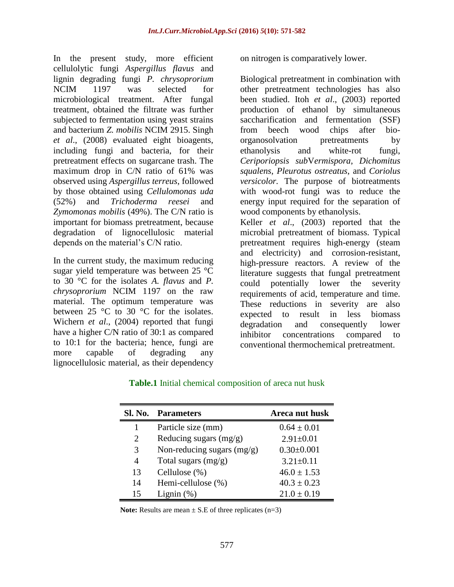In the present study, more efficient cellulolytic fungi *Aspergillus flavus* and lignin degrading fungi *P. chrysoprorium* NCIM 1197 was selected for microbiological treatment. After fungal treatment, obtained the filtrate was further subjected to fermentation using yeast strains and bacterium *Z. mobilis* NCIM 2915. Singh *et al*., (2008) evaluated eight bioagents, including fungi and bacteria, for their pretreatment effects on sugarcane trash. The maximum drop in C/N ratio of 61% was observed using *Aspergillus terreus*, followed by those obtained using *Cellulomonas uda*  (52%) and *Trichoderma reesei* and *Zymomonas mobilis* (49%). The C/N ratio is important for biomass pretreatment, because degradation of lignocellulosic material depends on the material's C/N ratio.

In the current study, the maximum reducing sugar yield temperature was between 25 °C to 30 °C for the isolates *A. flavus* and *P. chrysoprorium* NCIM 1197 on the raw material. The optimum temperature was between 25  $\degree$ C to 30  $\degree$ C for the isolates. Wichern *et al*., (2004) reported that fungi have a higher C/N ratio of 30:1 as compared to 10:1 for the bacteria; hence, fungi are more capable of degrading any lignocellulosic material, as their dependency on nitrogen is comparatively lower.

Biological pretreatment in combination with other pretreatment technologies has also been studied. Itoh *et al*., (2003) reported production of ethanol by simultaneous saccharification and fermentation (SSF) from beech wood chips after bioorganosolvation pretreatments by ethanolysis and white-rot fungi, *Ceriporiopsis sub*V*ermispora*, *Dichomitus squalens*, *Pleurotus ostreatus*, and *Coriolus versicolor.* The purpose of biotreatments with wood-rot fungi was to reduce the energy input required for the separation of wood components by ethanolysis. Keller *et al*., (2003) reported that the microbial pretreatment of biomass. Typical pretreatment requires high-energy (steam and electricity) and corrosion-resistant, high-pressure reactors. A review of the literature suggests that fungal pretreatment could potentially lower the severity requirements of acid, temperature and time. These reductions in severity are also expected to result in less biomass degradation and consequently lower inhibitor concentrations compared to conventional thermochemical pretreatment.

## **Table.1** Initial chemical composition of areca nut husk

| <b>SL No.</b> | <b>Parameters</b>            | Areca nut husk   |
|---------------|------------------------------|------------------|
|               | Particle size (mm)           | $0.64 \pm 0.01$  |
| 2             | Reducing sugars $(mg/g)$     | $2.91 \pm 0.01$  |
| 3             | Non-reducing sugars $(mg/g)$ | $0.30 \pm 0.001$ |
| 4             | Total sugars $(mg/g)$        | $3.21 \pm 0.11$  |
| 13            | Cellulose (%)                | $46.0 \pm 1.53$  |
| 14            | Hemi-cellulose (%)           | $40.3 \pm 0.23$  |
| 15            | Lignin $(\%)$                | $21.0 \pm 0.19$  |

**Note:** Results are mean  $\pm$  S.E of three replicates (n=3)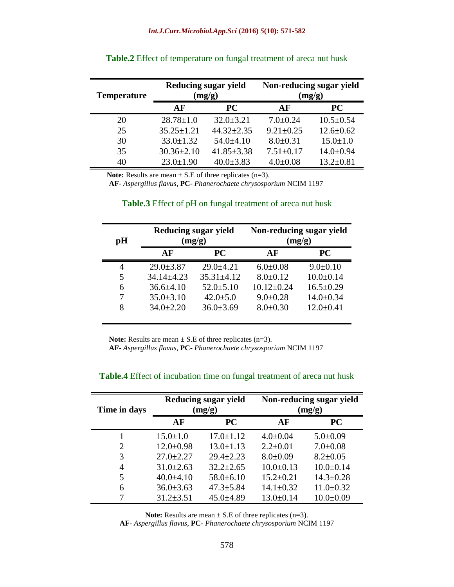| <b>Temperature</b> |                  | <b>Reducing sugar yield</b><br>(mg/g) | Non-reducing sugar yield<br>(mg/g) |                 |  |
|--------------------|------------------|---------------------------------------|------------------------------------|-----------------|--|
|                    | AF               | <b>PC</b>                             | AF                                 | <b>PC</b>       |  |
| 20                 | $28.78 \pm 1.0$  | $32.0 \pm 3.21$                       | $7.0 \pm 0.24$                     | $10.5 \pm 0.54$ |  |
| 25                 | $35.25 \pm 1.21$ | $44.32 \pm 2.35$                      | $9.21 \pm 0.25$                    | $12.6 \pm 0.62$ |  |
| 30                 | $33.0 \pm 1.32$  | $54.0\pm4.10$                         | $8.0 \pm 0.31$                     | $15.0 \pm 1.0$  |  |
| 35                 | $30.36 \pm 2.10$ | $41.85 \pm 3.38$                      | $7.51 \pm 0.17$                    | $14.0 \pm 0.94$ |  |
| 40                 | $23.0 \pm 1.90$  | $40.0 \pm 3.83$                       | $4.0 \pm 0.08$                     | $13.2 \pm 0.81$ |  |

| <b>Table.2</b> Effect of temperature on fungal treatment of areca nut husk |  |  |
|----------------------------------------------------------------------------|--|--|
|                                                                            |  |  |

**Note:** Results are mean  $\pm$  S.E of three replicates (n=3).

 **AF**- *Aspergillus flavus*, **PC**- *Phanerochaete chrysosporium* NCIM 1197

| pH | <b>Reducing sugar yield</b><br>(mg/g) |                  | Non-reducing sugar yield<br>(mg/g) |                 |
|----|---------------------------------------|------------------|------------------------------------|-----------------|
|    | AF                                    | <b>PC</b>        | AF                                 | <b>PC</b>       |
| 4  | $29.0 \pm 3.87$                       | $29.0 + 4.21$    | $6.0 \pm 0.08$                     | $9.0 \pm 0.10$  |
| 5  | $34.14 \pm 4.23$                      | $35.31 \pm 4.12$ | $8.0 \pm 0.12$                     | $10.0 \pm 0.14$ |
| 6  | $36.6\pm4.10$                         | $52.0 \pm 5.10$  | $10.12 \pm 0.24$                   | $16.5 \pm 0.29$ |
|    | $35.0 \pm 3.10$                       | $42.0 \pm 5.0$   | $9.0 \pm 0.28$                     | $14.0 \pm 0.34$ |
| 8  | $34.0 \pm 2.20$                       | $36.0 \pm 3.69$  | $8.0 \pm 0.30$                     | $12.0 \pm 0.41$ |

#### **Table.3** Effect of pH on fungal treatment of areca nut husk

**Note:** Results are mean  $\pm$  S.E of three replicates (n=3).

 **AF**- *Aspergillus flavus*, **PC**- *Phanerochaete chrysosporium* NCIM 1197

| Time in days |                 | Reducing sugar yield<br>(mg/g) | Non-reducing sugar yield<br>(mg/g) |                 |  |
|--------------|-----------------|--------------------------------|------------------------------------|-----------------|--|
|              | AF              | <b>PC</b>                      | AF                                 | <b>PC</b>       |  |
|              | $15.0 \pm 1.0$  | $17.0 \pm 1.12$                | $4.0 \pm 0.04$                     | $5.0 \pm 0.09$  |  |
| 2            | $12.0 \pm 0.98$ | $13.0 \pm 1.13$                | $2.2 \pm 0.01$                     | $7.0 \pm 0.08$  |  |
| 3            | $27.0 \pm 2.27$ | $29.4 \pm 2.23$                | $8.0 \pm 0.09$                     | $8.2 \pm 0.05$  |  |
| 4            | $31.0 \pm 2.63$ | $32.2 \pm 2.65$                | $10.0 \pm 0.13$                    | $10.0 \pm 0.14$ |  |
| 5            | $40.0 \pm 4.10$ | $58.0 \pm 6.10$                | $15.2 \pm 0.21$                    | $14.3 \pm 0.28$ |  |
| 6            | $36.0 \pm 3.63$ | $47.3 \pm 5.84$                | $14.1 \pm 0.32$                    | $11.0 \pm 0.32$ |  |
|              | $31.2 \pm 3.51$ | $45.0 \pm 4.89$                | $13.0 \pm 0.14$                    | $10.0 \pm 0.09$ |  |

#### **Table.4** Effect of incubation time on fungal treatment of areca nut husk

**Note:** Results are mean  $\pm$  S.E of three replicates (n=3).

**AF**- *Aspergillus flavus*, **PC**- *Phanerochaete chrysosporium* NCIM 1197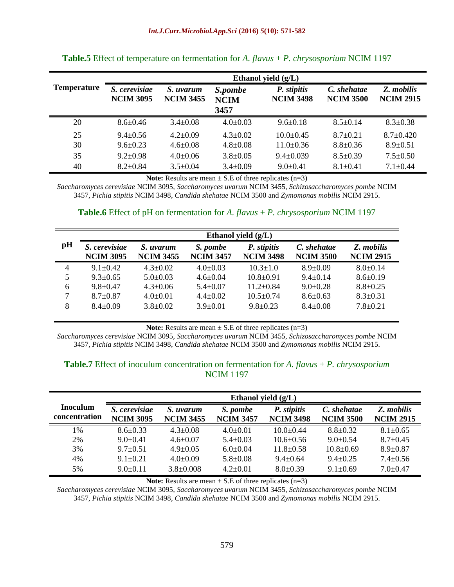|                    | Ethanol yield $(g/L)$             |                               |                                |                                 |                                 |                                |  |
|--------------------|-----------------------------------|-------------------------------|--------------------------------|---------------------------------|---------------------------------|--------------------------------|--|
| <b>Temperature</b> | S. cerevisiae<br><b>NCIM 3095</b> | S. uvarum<br><b>NCIM 3455</b> | S.pombe<br><b>NCIM</b><br>3457 | P. stipitis<br><b>NCIM 3498</b> | C. shehatae<br><b>NCIM 3500</b> | Z. mobilis<br><b>NCIM 2915</b> |  |
| 20                 | $8.6 \pm 0.46$                    | $3.4 \pm 0.08$                | $4.0 \pm 0.03$                 | $9.6 \pm 0.18$                  | $8.5 \pm 0.14$                  | $8.3 \pm 0.38$                 |  |
| 25                 | $9.4 \pm 0.56$                    | $4.2 \pm 0.09$                | $4.3 \pm 0.02$                 | $10.0+0.45$                     | $8.7 \pm 0.21$                  | $8.7 \pm 0.420$                |  |
| 30                 | $9.6 \pm 0.23$                    | $4.6 \pm 0.08$                | $4.8 \pm 0.08$                 | $11.0 \pm 0.36$                 | $8.8 \pm 0.36$                  | $8.9 \pm 0.51$                 |  |
| 35                 | $9.2 \pm 0.98$                    | $4.0 \pm 0.06$                | $3.8 \pm 0.05$                 | $9.4 \pm 0.039$                 | $8.5 \pm 0.39$                  | $7.5 \pm 0.50$                 |  |
| 40                 | $8.2 \pm 0.84$                    | $3.5 \pm 0.04$                | $3.4 \pm 0.09$                 | $9.0 \pm 0.41$                  | $8.1 \pm 0.41$                  | $7.1 \pm 0.44$                 |  |

#### **Table.5** Effect of temperature on fermentation for *A. flavus* + *P. chrysosporium* NCIM 1197

**Note:** Results are mean  $\pm$  S.E of three replicates (n=3)

*Saccharomyces cerevisiae* NCIM 3095, *Saccharomyces uvarum* NCIM 3455, *Schizosaccharomyces pombe* NCIM 3457, *Pichia stipitis* NCIM 3498, *Candida shehatae* NCIM 3500 and *Zymomonas mobilis* NCIM 2915.

#### **Table.6** Effect of pH on fermentation for *A. flavus* + *P. chrysosporium* NCIM 1197

| pH | S. cerevisiae<br><b>NCIM 3095</b> | S. uvarum<br><b>NCIM 3455</b> | S. pombe<br><b>NCIM 3457</b> | P. stipitis<br><b>NCIM 3498</b> | C. shehatae<br><b>NCIM 3500</b> | Z. mobilis<br><b>NCIM 2915</b> |
|----|-----------------------------------|-------------------------------|------------------------------|---------------------------------|---------------------------------|--------------------------------|
| 4  | $9.1 + 0.42$                      | $4.3 \pm 0.02$                | $4.0 \pm 0.03$               | $10.3 + 1.0$                    | $8.9 + 0.09$                    | $8.0 \pm 0.14$                 |
| 5  | $9.3 \pm 0.65$                    | $5.0 \pm 0.03$                | $4.6 \pm 0.04$               | $10.8 \pm 0.91$                 | $9.4 \pm 0.14$                  | $8.6 \pm 0.19$                 |
| 6  | $9.8 + 0.47$                      | $4.3 \pm 0.06$                | $5.4 \pm 0.07$               | $11.2 \pm 0.84$                 | $9.0 \pm 0.28$                  | $8.8 \pm 0.25$                 |
| 7  | $8.7 \pm 0.87$                    | $4.0 \pm 0.01$                | $4.4 \pm 0.02$               | $10.5 \pm 0.74$                 | $8.6 \pm 0.63$                  | $8.3 \pm 0.31$                 |
| 8  | $8.4 + 0.09$                      | $3.8 \pm 0.02$                | $3.9 + 0.01$                 | $9.8 + 0.23$                    | $8.4 \pm 0.08$                  | $7.8 + 0.21$                   |

**Note:** Results are mean  $\pm$  S.E of three replicates (n=3)

*Saccharomyces cerevisiae* NCIM 3095, *Saccharomyces uvarum* NCIM 3455, *Schizosaccharomyces pombe* NCIM 3457, *Pichia stipitis* NCIM 3498, *Candida shehatae* NCIM 3500 and *Zymomonas mobilis* NCIM 2915.

#### **Table.7** Effect of inoculum concentration on fermentation for *A. flavus* + *P. chrysosporium* NCIM 1197

|                                  | Ethanol yield $(g/L)$             |                               |                              |                                 |                                 |                                |  |
|----------------------------------|-----------------------------------|-------------------------------|------------------------------|---------------------------------|---------------------------------|--------------------------------|--|
| <b>Inoculum</b><br>concentration | S. cerevisiae<br><b>NCIM 3095</b> | S. uvarum<br><b>NCIM 3455</b> | S. pombe<br><b>NCIM 3457</b> | P. stipitis<br><b>NCIM 3498</b> | C. shehatae<br><b>NCIM 3500</b> | Z. mobilis<br><b>NCIM 2915</b> |  |
| 1%                               | $8.6 + 0.33$                      | $4.3 + 0.08$                  | $4.0+0.01$                   | $10.0 + 0.44$                   | $8.8 + 0.32$                    | $8.1 \pm 0.65$                 |  |
| 2%                               | $9.0 + 0.41$                      | $4.6 + 0.07$                  | $5.4 \pm 0.03$               | $10.6 \pm 0.56$                 | $9.0 + 0.54$                    | $8.7 \pm 0.45$                 |  |
| 3%                               | $9.7+0.51$                        | $4.9 + 0.05$                  | $6.0+0.04$                   | $11.8 + 0.58$                   | $10.8 + 0.69$                   | $8.9 + 0.87$                   |  |
| 4%                               | $9.1 + 0.21$                      | $4.0 \pm 0.09$                | $5.8 \pm 0.08$               | $9.4 + 0.64$                    | $9.4 + 0.25$                    | $7.4 \pm 0.56$                 |  |
| 5%                               | $9.0 + 0.11$                      | $3.8 \pm 0.008$               | $4.2 + 0.01$                 | $8.0 \pm 0.39$                  | $9.1 \pm 0.69$                  | $7.0 \pm 0.47$                 |  |

**Note:** Results are mean  $\pm$  S.E of three replicates (n=3)

*Saccharomyces cerevisiae* NCIM 3095, *Saccharomyces uvarum* NCIM 3455, *Schizosaccharomyces pombe* NCIM 3457, *Pichia stipitis* NCIM 3498, *Candida shehatae* NCIM 3500 and *Zymomonas mobilis* NCIM 2915.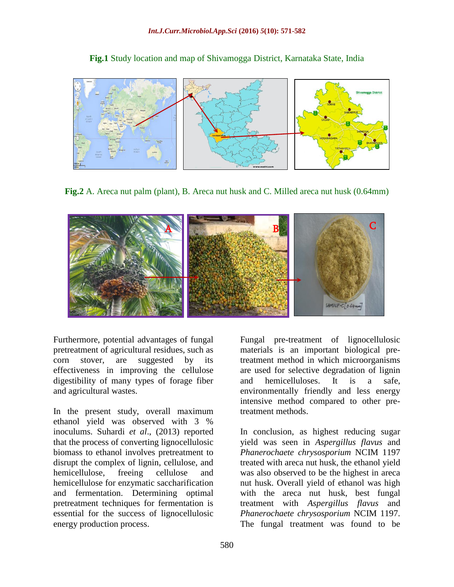**Fig.1** Study location and map of Shivamogga District, Karnataka State, India



**Fig.2** A. Areca nut palm (plant), B. Areca nut husk and C. Milled areca nut husk (0.64mm)



Furthermore, potential advantages of fungal pretreatment of agricultural residues, such as corn stover, are suggested by its effectiveness in improving the cellulose digestibility of many types of forage fiber and agricultural wastes.

In the present study, overall maximum ethanol yield was observed with 3 % inoculums. Suhardi *et al*., (2013) reported that the process of converting lignocellulosic biomass to ethanol involves pretreatment to disrupt the complex of lignin, cellulose, and hemicellulose, freeing cellulose and hemicellulose for enzymatic saccharification and fermentation. Determining optimal pretreatment techniques for fermentation is essential for the success of lignocellulosic energy production process.

Fungal pre-treatment of lignocellulosic materials is an important biological pretreatment method in which microorganisms are used for selective degradation of lignin and hemicelluloses. It is a safe, environmentally friendly and less energy intensive method compared to other pretreatment methods.

In conclusion, as highest reducing sugar yield was seen in *Aspergillus flavus* and *Phanerochaete chrysosporium* NCIM 1197 treated with areca nut husk, the ethanol yield was also observed to be the highest in areca nut husk. Overall yield of ethanol was high with the areca nut husk, best fungal treatment with *Aspergillus flavus* and *Phanerochaete chrysosporium* NCIM 1197. The fungal treatment was found to be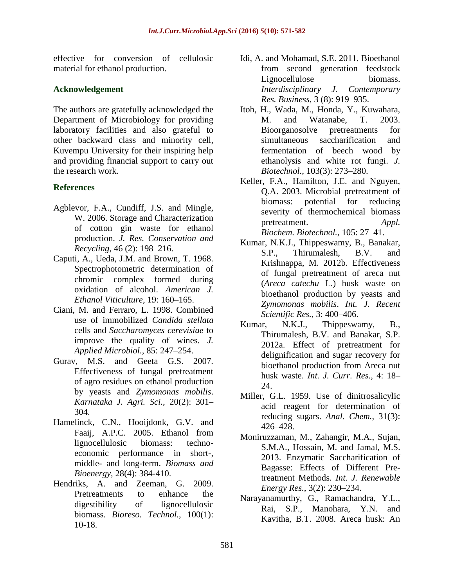effective for conversion of cellulosic material for ethanol production.

## **Acknowledgement**

The authors are gratefully acknowledged the Department of Microbiology for providing laboratory facilities and also grateful to other backward class and minority cell, Kuvempu University for their inspiring help and providing financial support to carry out the research work.

## **References**

- Agblevor, F.A., Cundiff, J.S. and Mingle, W. 2006. Storage and Characterization of cotton gin waste for ethanol production. *J. Res. Conservation and Recycling*, 46 (2): 198–216.
- Caputi, A., Ueda, J.M. and Brown, T. 1968. Spectrophotometric determination of chromic complex formed during oxidation of alcohol. *American J. Ethanol Viticulture*, 19: 160–165.
- Ciani, M. and Ferraro, L. 1998. Combined use of immobilized *Candida stellata* cells and *Saccharomyces cerevisiae* to improve the quality of wines. *J. Applied Microbiol.*, 85: 247–254.
- Gurav, M.S. and Geeta G.S. 2007. Effectiveness of fungal pretreatment of agro residues on ethanol production by yeasts and *Zymomonas mobilis*. *Karnataka J. Agri. Sci.,* 20(2): 301– 304.
- Hamelinck, C.N., Hooijdonk, G.V. and Faaij, A.P.C. 2005. Ethanol from lignocellulosic biomass: technoeconomic performance in short-, middle- and long-term. *Biomass and Bioenergy*, 28(4): 384-410.
- Hendriks, A. and Zeeman, G. 2009. Pretreatments to enhance the digestibility of lignocellulosic biomass. *Bioreso. Technol.*, 100(1): 10-18.
- Idi, A. and Mohamad, S.E. 2011. Bioethanol from second generation feedstock Lignocellulose biomass. *Interdisciplinary J. Contemporary Res. Business*, 3 (8): 919–935.
- Itoh, H., Wada, M., Honda, Y., Kuwahara, M. and Watanabe, T. 2003. Bioorganosolve pretreatments for simultaneous saccharification and fermentation of beech wood by ethanolysis and white rot fungi. *J. Biotechnol.,* 103(3): 273–280.
- Keller, F.A., Hamilton, J.E. and Nguyen, Q.A. 2003. Microbial pretreatment of biomass: potential for reducing severity of thermochemical biomass pretreatment. *Appl. Biochem. Biotechnol.*, 105: 27–41.
- Kumar, N.K.J., Thippeswamy, B., Banakar, S.P., Thirumalesh, B.V. and Krishnappa, M. 2012b. Effectiveness of fungal pretreatment of areca nut (*Areca catechu* L.) husk waste on bioethanol production by yeasts and *Zymomonas mobilis*. *Int. J. Recent Scientific Res.,* 3: 400–406.
- Kumar, N.K.J., Thippeswamy, B., Thirumalesh, B.V. and Banakar, S.P. 2012a. Effect of pretreatment for delignification and sugar recovery for bioethanol production from Areca nut husk waste. *Int. J. Curr. Res.,* 4: 18– 24.
- Miller, G.L. 1959. Use of dinitrosalicylic acid reagent for determination of reducing sugars. *Anal. Chem.*, 31(3): 426–428.
- Moniruzzaman, M., Zahangir, M.A., Sujan, S.M.A., Hossain, M. and Jamal, M.S. 2013. Enzymatic Saccharification of Bagasse: Effects of Different Pretreatment Methods. *Int. J. Renewable Energy Res.*, 3(2): 230–234.
- Narayanamurthy, G., Ramachandra, Y.L., Rai, S.P., Manohara, Y.N. and Kavitha, B.T. 2008. Areca husk: An